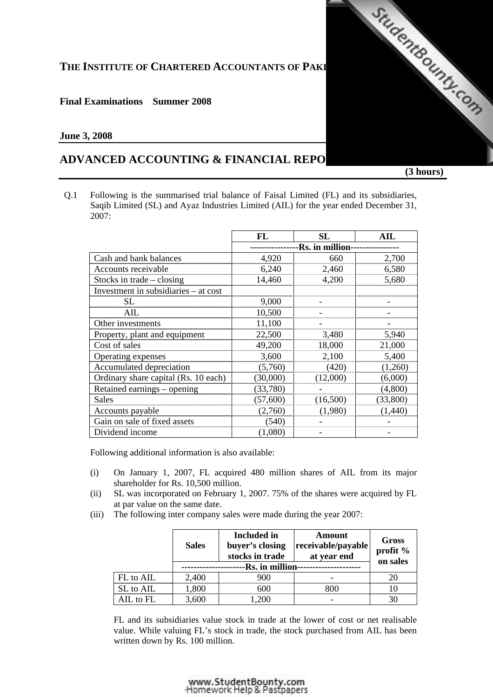# THE **INSTITUTE OF CHARTERED ACCOUNTANTS OF PAKI**

## **Final Examinations Summer 2008**

### **June 3, 2008**

# **ADVANCED ACCOUNTING & FINANCIAL REPO**

 **(3 hours)** 

StudentBounty.com

Q.1 Following is the summarised trial balance of Faisal Limited (FL) and its subsidiaries, Saqib Limited (SL) and Ayaz Industries Limited (AIL) for the year ended December 31, 2007:

|                                      | FL              | SL       | AIL      |  |
|--------------------------------------|-----------------|----------|----------|--|
|                                      | -Rs. in million |          |          |  |
| Cash and bank balances               | 4,920           | 660      | 2,700    |  |
| Accounts receivable                  | 6,240           | 2,460    | 6,580    |  |
| Stocks in trade $-$ closing          | 14,460          | 4,200    | 5,680    |  |
| Investment in subsidiaries – at cost |                 |          |          |  |
| SL                                   | 9,000           |          |          |  |
| AIL                                  | 10,500          |          |          |  |
| Other investments                    | 11,100          |          |          |  |
| Property, plant and equipment        | 22,500          | 3,480    | 5,940    |  |
| Cost of sales                        | 49,200          | 18,000   | 21,000   |  |
| Operating expenses                   | 3,600           | 2,100    | 5,400    |  |
| Accumulated depreciation             | (5,760)         | (420)    | (1,260)  |  |
| Ordinary share capital (Rs. 10 each) | (30,000)        | (12,000) | (6,000)  |  |
| Retained earnings - opening          | (33,780)        |          | (4,800)  |  |
| <b>Sales</b>                         | (57,600)        | (16,500) | (33,800) |  |
| Accounts payable                     | (2,760)         | (1,980)  | (1,440)  |  |
| Gain on sale of fixed assets         | (540)           |          |          |  |
| Dividend income                      | (1,080)         |          |          |  |

Following additional information is also available:

- (i) On January 1, 2007, FL acquired 480 million shares of AIL from its major shareholder for Rs. 10,500 million.
- (ii) SL was incorporated on February 1, 2007. 75% of the shares were acquired by FL at par value on the same date.
- (iii) The following inter company sales were made during the year 2007:

|           | <b>Sales</b> | Included in<br>buyer's closing<br>stocks in trade | Amount<br>receivable/payable<br>at year end | Gross<br>profit %<br>on sales |
|-----------|--------------|---------------------------------------------------|---------------------------------------------|-------------------------------|
|           |              | Rs. in million                                    |                                             |                               |
| FL to AIL | 2,400        |                                                   |                                             |                               |
| SL to AIL | 1.800        |                                                   |                                             |                               |
| AIL to FL | 3.600        |                                                   |                                             |                               |

 FL and its subsidiaries value stock in trade at the lower of cost or net realisable value. While valuing FL's stock in trade, the stock purchased from AIL has been written down by Rs. 100 million.

#### www.StudentBounty.com Homework Help & Pastpapers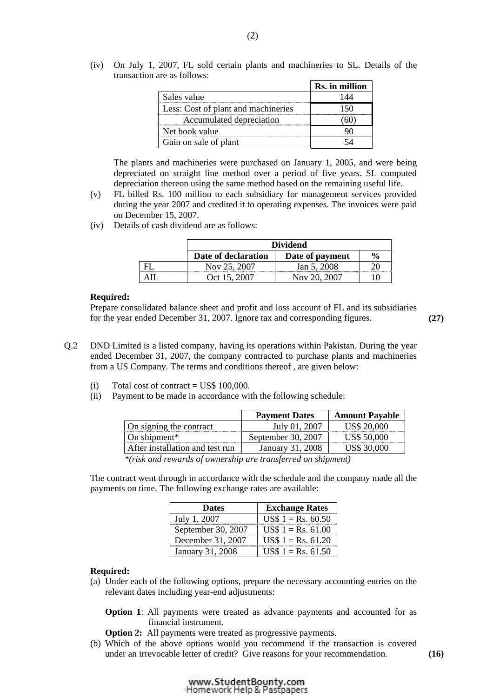(iv) On July 1, 2007, FL sold certain plants and machineries to SL. Details of the transaction are as follows:

|                                     | Rs. in million |
|-------------------------------------|----------------|
| Sales value                         |                |
| Less: Cost of plant and machineries |                |
| Accumulated depreciation            | ΩU             |
| Net book value                      |                |
| Gain on sale of plant               |                |

 The plants and machineries were purchased on January 1, 2005, and were being depreciated on straight line method over a period of five years. SL computed depreciation thereon using the same method based on the remaining useful life.

- (v) FL billed Rs. 100 million to each subsidiary for management services provided during the year 2007 and credited it to operating expenses. The invoices were paid on December 15, 2007.
- (iv) Details of cash dividend are as follows:

|    | <b>Dividend</b>                                         |              |  |
|----|---------------------------------------------------------|--------------|--|
|    | $\frac{6}{6}$<br>Date of declaration<br>Date of payment |              |  |
| FI | Nov 25, 2007                                            | Jan 5, 2008  |  |
|    | Oct 15, 2007                                            | Nov 20, 2007 |  |

#### **Required:**

Prepare consolidated balance sheet and profit and loss account of FL and its subsidiaries for the year ended December 31, 2007. Ignore tax and corresponding figures. **(27)** 

- Q.2 DND Limited is a listed company, having its operations within Pakistan. During the year ended December 31, 2007, the company contracted to purchase plants and machineries from a US Company. The terms and conditions thereof , are given below:
	- (i) Total cost of contract =  $\text{USS } 100,000$ .
	- (ii) Payment to be made in accordance with the following schedule:

|                                                                 | <b>Payment Dates</b> | <b>Amount Payable</b> |
|-----------------------------------------------------------------|----------------------|-----------------------|
| On signing the contract                                         | July 01, 2007        | <b>US\$ 20,000</b>    |
| On shipment $*$                                                 | September 30, 2007   | <b>US\$ 50,000</b>    |
| After installation and test run                                 | January 31, 2008     | <b>US\$ 30,000</b>    |
| $\mathbf{1}$ and $\mathbf{1}$ and $\mathbf{1}$ and $\mathbf{1}$ |                      |                       |

 *\*(risk and rewards of ownership are transferred on shipment)* 

 The contract went through in accordance with the schedule and the company made all the payments on time. The following exchange rates are available:

| <b>Dates</b>       | <b>Exchange Rates</b> |
|--------------------|-----------------------|
| July 1, 2007       | $US$ 1 = Rs. 60.50$   |
| September 30, 2007 | $US$ 1 = Rs. 61.00$   |
| December 31, 2007  | $US$ 1 = Rs. 61.20$   |
| January 31, 2008   | $US$ 1 = Rs. 61.50$   |

#### **Required:**

 (a) Under each of the following options, prepare the necessary accounting entries on the relevant dates including year-end adjustments:

**Option 1**: All payments were treated as advance payments and accounted for as financial instrument.

- **Option 2:** All payments were treated as progressive payments.
- (b) Which of the above options would you recommend if the transaction is covered under an irrevocable letter of credit? Give reasons for your recommendation. **(16)**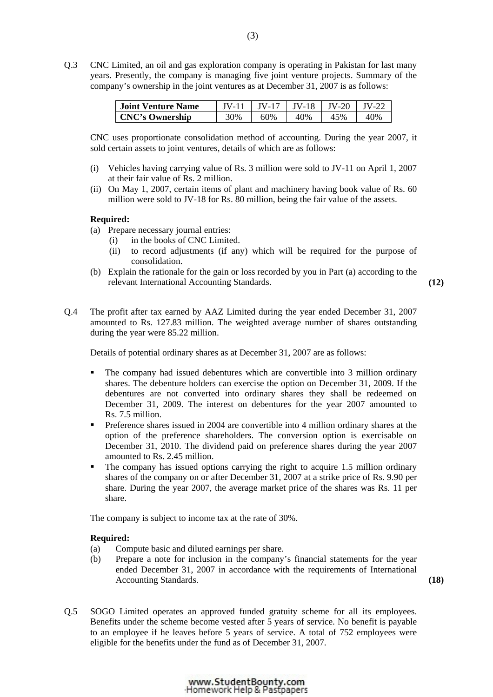Q.3 CNC Limited, an oil and gas exploration company is operating in Pakistan for last many years. Presently, the company is managing five joint venture projects. Summary of the company's ownership in the joint ventures as at December 31, 2007 is as follows:

| <b>Joint Venture Name</b> | IV-11 | $\vert$ IV-17 $\vert$ IV-18 $\vert$ IV-20 $\vert$ IV-22 |     |     |     |
|---------------------------|-------|---------------------------------------------------------|-----|-----|-----|
| <b>CNC's Ownership</b>    | 30%   | 60%                                                     | 40% | 45% | 40% |

 CNC uses proportionate consolidation method of accounting. During the year 2007, it sold certain assets to joint ventures, details of which are as follows:

- (i) Vehicles having carrying value of Rs. 3 million were sold to JV-11 on April 1, 2007 at their fair value of Rs. 2 million.
- (ii) On May 1, 2007, certain items of plant and machinery having book value of Rs. 60 million were sold to JV-18 for Rs. 80 million, being the fair value of the assets.

#### **Required:**

- (a) Prepare necessary journal entries:
	- (i) in the books of CNC Limited.
	- (ii) to record adjustments (if any) which will be required for the purpose of consolidation.
- (b) Explain the rationale for the gain or loss recorded by you in Part (a) according to the relevant International Accounting Standards. **(12)**

Q.4 The profit after tax earned by AAZ Limited during the year ended December 31, 2007 amounted to Rs. 127.83 million. The weighted average number of shares outstanding during the year were 85.22 million.

Details of potential ordinary shares as at December 31, 2007 are as follows:

- The company had issued debentures which are convertible into 3 million ordinary shares. The debenture holders can exercise the option on December 31, 2009. If the debentures are not converted into ordinary shares they shall be redeemed on December 31, 2009. The interest on debentures for the year 2007 amounted to Rs. 7.5 million.
- **Preference shares issued in 2004 are convertible into 4 million ordinary shares at the** option of the preference shareholders. The conversion option is exercisable on December 31, 2010. The dividend paid on preference shares during the year 2007 amounted to Rs. 2.45 million.
- The company has issued options carrying the right to acquire 1.5 million ordinary shares of the company on or after December 31, 2007 at a strike price of Rs. 9.90 per share. During the year 2007, the average market price of the shares was Rs. 11 per share.

The company is subject to income tax at the rate of 30%.

#### **Required:**

- (a) Compute basic and diluted earnings per share.
- (b) Prepare a note for inclusion in the company's financial statements for the year ended December 31, 2007 in accordance with the requirements of International Accounting Standards. **(18)**

Q.5 SOGO Limited operates an approved funded gratuity scheme for all its employees. Benefits under the scheme become vested after 5 years of service. No benefit is payable to an employee if he leaves before 5 years of service. A total of 752 employees were eligible for the benefits under the fund as of December 31, 2007.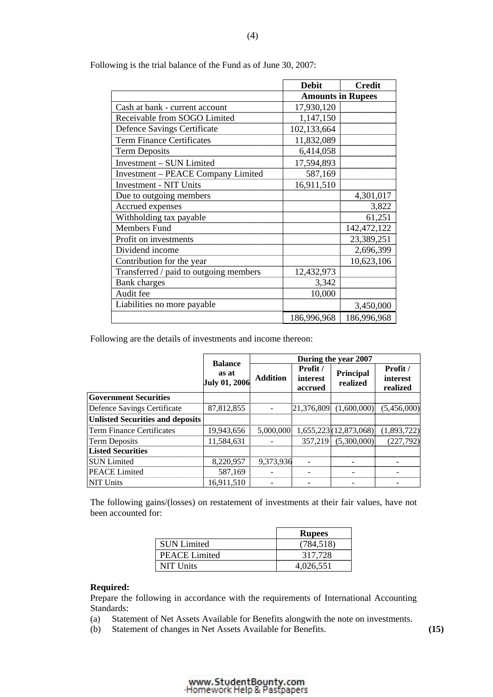|                                           | <b>Debit</b>             | <b>Credit</b> |  |
|-------------------------------------------|--------------------------|---------------|--|
|                                           | <b>Amounts in Rupees</b> |               |  |
| Cash at bank - current account            | 17,930,120               |               |  |
| Receivable from SOGO Limited              | 1,147,150                |               |  |
| Defence Savings Certificate               | 102,133,664              |               |  |
| <b>Term Finance Certificates</b>          | 11,832,089               |               |  |
| <b>Term Deposits</b>                      | 6,414,058                |               |  |
| <b>Investment - SUN Limited</b>           | 17,594,893               |               |  |
| <b>Investment – PEACE Company Limited</b> | 587,169                  |               |  |
| <b>Investment - NIT Units</b>             | 16,911,510               |               |  |
| Due to outgoing members                   |                          | 4,301,017     |  |
| Accrued expenses                          |                          | 3,822         |  |
| Withholding tax payable                   |                          | 61,251        |  |
| <b>Members Fund</b>                       |                          | 142,472,122   |  |
| Profit on investments                     |                          | 23,389,251    |  |
| Dividend income                           |                          | 2,696,399     |  |
| Contribution for the year                 |                          | 10,623,106    |  |
| Transferred / paid to outgoing members    | 12,432,973               |               |  |
| <b>Bank</b> charges                       | 3,342                    |               |  |
| Audit fee                                 | 10,000                   |               |  |
| Liabilities no more payable               |                          | 3,450,000     |  |
|                                           | 186,996,968              | 186,996,968   |  |

Following is the trial balance of the Fund as of June 30, 2007:

Following are the details of investments and income thereon:

|                                         | <b>Balance</b>                | During the year 2007 |                                 |                            |                                  |
|-----------------------------------------|-------------------------------|----------------------|---------------------------------|----------------------------|----------------------------------|
|                                         | as at<br><b>July 01, 2006</b> | <b>Addition</b>      | Profit /<br>interest<br>accrued | Principal<br>realized      | Profit /<br>interest<br>realized |
| <b>Government Securities</b>            |                               |                      |                                 |                            |                                  |
| Defence Savings Certificate             | 87,812,855                    |                      |                                 | $ 21.376.809 $ (1.600.000) | (5,456,000)                      |
| <b>Unlisted Securities and deposits</b> |                               |                      |                                 |                            |                                  |
| l Term Finance Certificates             | 19,943,656                    | 5.000.0001           |                                 | 1,655,223(12,873,068)      | (1,893,722)                      |
| <b>Term Deposits</b>                    | 11,584,631                    |                      |                                 | 357,219 (5,300,000)        | (227,792)                        |
| <b>Listed Securities</b>                |                               |                      |                                 |                            |                                  |
| <b>SUN Limited</b>                      | 8,220,957                     | 9,373,936            |                                 |                            |                                  |
| <b>PEACE Limited</b>                    | 587,169                       |                      |                                 |                            |                                  |
| <b>NIT Units</b>                        | 16.911.510                    |                      |                                 |                            |                                  |

 The following gains/(losses) on restatement of investments at their fair values, have not been accounted for:

|                    | <b>Rupees</b> |
|--------------------|---------------|
| <b>SUN Limited</b> |               |
| PEACE Limited      | 317,728       |
| NIT Units          | 4,026,551     |

## **Required:**

Prepare the following in accordance with the requirements of International Accounting Standards:

- (a) Statement of Net Assets Available for Benefits alongwith the note on investments.
- (b) Statement of changes in Net Assets Available for Benefits. **(15)**